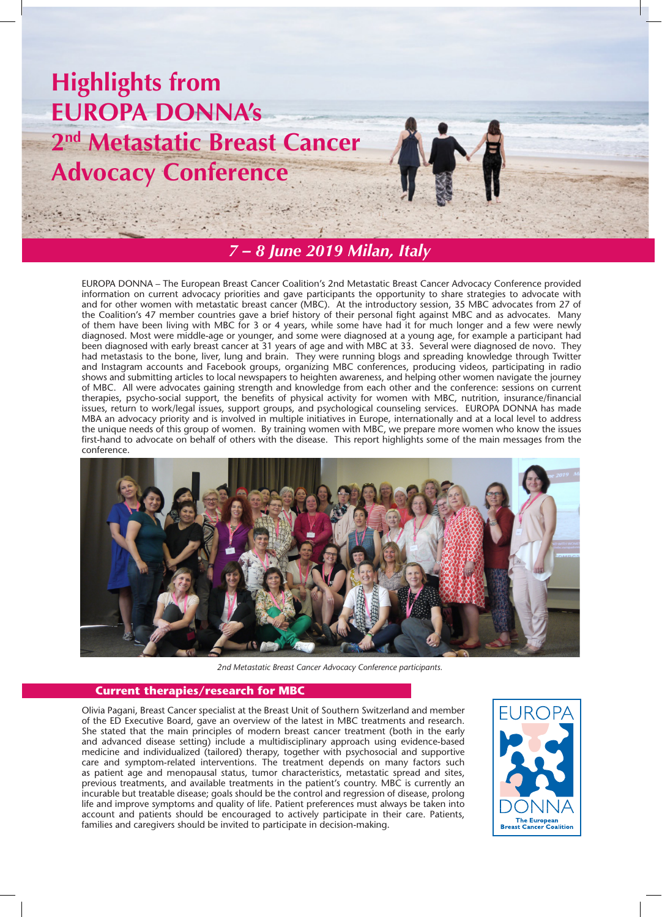



# *7 – 8 June 2019 Milan, Italy*

EUROPA DONNA – The European Breast Cancer Coalition's 2nd Metastatic Breast Cancer Advocacy Conference provided information on current advocacy priorities and gave participants the opportunity to share strategies to advocate with and for other women with metastatic breast cancer (MBC). At the introductory session, 35 MBC advocates from 27 of the Coalition's 47 member countries gave a brief history of their personal fight against MBC and as advocates. Many of them have been living with MBC for 3 or 4 years, while some have had it for much longer and a few were newly diagnosed. Most were middle-age or younger, and some were diagnosed at a young age, for example a participant had been diagnosed with early breast cancer at 31 years of age and with MBC at 33. Several were diagnosed de novo. They had metastasis to the bone, liver, lung and brain. They were running blogs and spreading knowledge through Twitter and Instagram accounts and Facebook groups, organizing MBC conferences, producing videos, participating in radio shows and submitting articles to local newspapers to heighten awareness, and helping other women navigate the journey of MBC. All were advocates gaining strength and knowledge from each other and the conference: sessions on current therapies, psycho-social support, the benefits of physical activity for women with MBC, nutrition, insurance/financial issues, return to work/legal issues, support groups, and psychological counseling services. EUROPA DONNA has made MBA an advocacy priority and is involved in multiple initiatives in Europe, internationally and at a local level to address the unique needs of this group of women. By training women with MBC, we prepare more women who know the issues first-hand to advocate on behalf of others with the disease. This report highlights some of the main messages from the conference.



*2nd Metastatic Breast Cancer Advocacy Conference participants.*

### **Current therapies/research for MBC**

Olivia Pagani, Breast Cancer specialist at the Breast Unit of Southern Switzerland and member of the ED Executive Board, gave an overview of the latest in MBC treatments and research. She stated that the main principles of modern breast cancer treatment (both in the early and advanced disease setting) include a multidisciplinary approach using evidence-based medicine and individualized (tailored) therapy, together with psychosocial and supportive care and symptom-related interventions. The treatment depends on many factors such as patient age and menopausal status, tumor characteristics, metastatic spread and sites, previous treatments, and available treatments in the patient's country. MBC is currently an incurable but treatable disease; goals should be the control and regression of disease, prolong life and improve symptoms and quality of life. Patient preferences must always be taken into account and patients should be encouraged to actively participate in their care. Patients, families and caregivers should be invited to participate in decision-making.

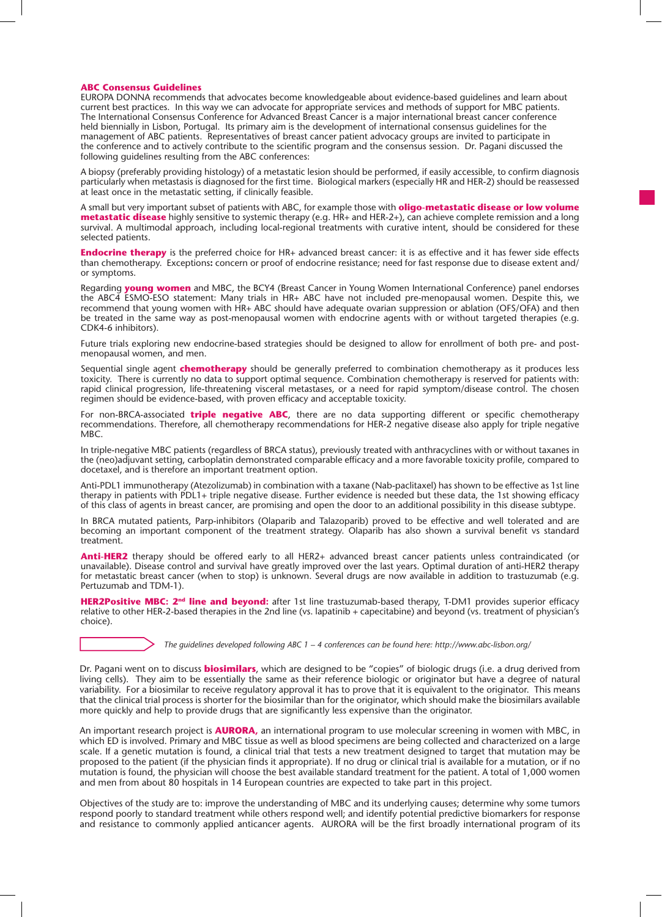#### **ABC Consensus Guidelines**

EUROPA DONNA recommends that advocates become knowledgeable about evidence-based guidelines and learn about current best practices. In this way we can advocate for appropriate services and methods of support for MBC patients. The International Consensus Conference for Advanced Breast Cancer is a major international breast cancer conference held biennially in Lisbon, Portugal. Its primary aim is the development of international consensus guidelines for the management of ABC patients. Representatives of breast cancer patient advocacy groups are invited to participate in the conference and to actively contribute to the scientific program and the consensus session. Dr. Pagani discussed the following guidelines resulting from the ABC conferences:

A biopsy (preferably providing histology) of a metastatic lesion should be performed, if easily accessible, to confirm diagnosis particularly when metastasis is diagnosed for the first time. Biological markers (especially HR and HER-2) should be reassessed at least once in the metastatic setting, if clinically feasible.

A small but very important subset of patients with ABC, for example those with **oligo-metastatic disease or low volume metastatic disease** highly sensitive to systemic therapy (e.g. HR+ and HER-2+), can achieve complete remission and a long survival. A multimodal approach, including local-regional treatments with curative intent, should be considered for these selected patients.

**Endocrine therapy** is the preferred choice for HR+ advanced breast cancer: it is as effective and it has fewer side effects than chemotherapy. Exceptions**:** concern or proof of endocrine resistance; need for fast response due to disease extent and/ or symptoms.

Regarding **young women** and MBC, the BCY4 (Breast Cancer in Young Women International Conference) panel endorses the ABC4 ESMO-ESO statement: Many trials in HR+ ABC have not included pre-menopausal women. Despite this, we recommend that young women with HR+ ABC should have adequate ovarian suppression or ablation (OFS/OFA) and then be treated in the same way as post-menopausal women with endocrine agents with or without targeted therapies (e.g. CDK4-6 inhibitors).

Future trials exploring new endocrine-based strategies should be designed to allow for enrollment of both pre- and postmenopausal women, and men.

Sequential single agent **chemotherapy** should be generally preferred to combination chemotherapy as it produces less toxicity. There is currently no data to support optimal sequence. Combination chemotherapy is reserved for patients with: rapid clinical progression, life-threatening visceral metastases, or a need for rapid symptom/disease control. The chosen regimen should be evidence-based, with proven efficacy and acceptable toxicity.

For non-BRCA-associated **triple negative ABC**, there are no data supporting different or specific chemotherapy recommendations. Therefore, all chemotherapy recommendations for HER-2 negative disease also apply for triple negative MBC.

In triple-negative MBC patients (regardless of BRCA status), previously treated with anthracyclines with or without taxanes in the (neo)adjuvant setting, carboplatin demonstrated comparable efficacy and a more favorable toxicity profile, compared to docetaxel, and is therefore an important treatment option.

Anti-PDL1 immunotherapy (Atezolizumab) in combination with a taxane (Nab-paclitaxel) has shown to be effective as 1st line therapy in patients with PDL1+ triple negative disease. Further evidence is needed but these data, the 1st showing efficacy of this class of agents in breast cancer, are promising and open the door to an additional possibility in this disease subtype.

In BRCA mutated patients, Parp-inhibitors (Olaparib and Talazoparib) proved to be effective and well tolerated and are becoming an important component of the treatment strategy. Olaparib has also shown a survival benefit vs standard treatment.

**Anti-HER2** therapy should be offered early to all HER2+ advanced breast cancer patients unless contraindicated (or unavailable). Disease control and survival have greatly improved over the last years. Optimal duration of anti-HER2 therapy for metastatic breast cancer (when to stop) is unknown. Several drugs are now available in addition to trastuzumab (e.g. Pertuzumab and TDM-1).

**HER2Positive MBC: 2nd line and beyond:** after 1st line trastuzumab-based therapy, T-DM1 provides superior efficacy relative to other HER-2-based therapies in the 2nd line (vs. lapatinib + capecitabine) and beyond (vs. treatment of physician's choice).

*The guidelines developed following ABC 1 – 4 conferences can be found here: http://www.abc-lisbon.org/*

Dr. Pagani went on to discuss **biosimilars**, which are designed to be "copies" of biologic drugs (i.e. a drug derived from living cells). They aim to be essentially the same as their reference biologic or originator but have a degree of natural variability. For a biosimilar to receive regulatory approval it has to prove that it is equivalent to the originator. This means that the clinical trial process is shorter for the biosimilar than for the originator, which should make the biosimilars available more quickly and help to provide drugs that are significantly less expensive than the originator.

An important research project is **AURORA,** an international program to use molecular screening in women with MBC, in which ED is involved. Primary and MBC tissue as well as blood specimens are being collected and characterized on a large scale. If a genetic mutation is found, a clinical trial that tests a new treatment designed to target that mutation may be proposed to the patient (if the physician finds it appropriate). If no drug or clinical trial is available for a mutation, or if no mutation is found, the physician will choose the best available standard treatment for the patient. A total of 1,000 women and men from about 80 hospitals in 14 European countries are expected to take part in this project.

Objectives of the study are to: improve the understanding of MBC and its underlying causes; determine why some tumors respond poorly to standard treatment while others respond well; and identify potential predictive biomarkers for response and resistance to commonly applied anticancer agents. AURORA will be the first broadly international program of its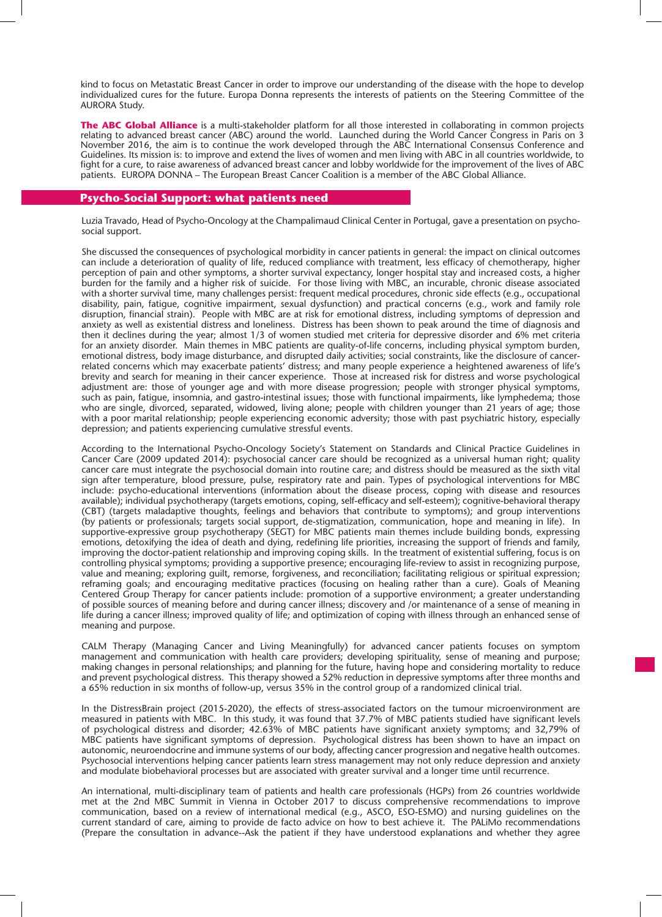kind to focus on Metastatic Breast Cancer in order to improve our understanding of the disease with the hope to develop individualized cures for the future. Europa Donna represents the interests of patients on the Steering Committee of the AURORA Study.

**The ABC Global Alliance** is a multi-stakeholder platform for all those interested in collaborating in common projects relating to advanced breast cancer (ABC) around the world. Launched during the World Cancer Congress in Paris on 3 November 2016, the aim is to continue the work developed through the ABC International Consensus Conference and Guidelines. Its mission is: to improve and extend the lives of women and men living with ABC in all countries worldwide, to fight for a cure, to raise awareness of advanced breast cancer and lobby worldwide for the improvement of the lives of ABC patients. EUROPA DONNA – The European Breast Cancer Coalition is a member of the ABC Global Alliance.

### **Psycho-Social Support: what patients need**

Luzia Travado, Head of Psycho-Oncology at the Champalimaud Clinical Center in Portugal, gave a presentation on psychosocial support.

She discussed the consequences of psychological morbidity in cancer patients in general: the impact on clinical outcomes can include a deterioration of quality of life, reduced compliance with treatment, less efficacy of chemotherapy, higher perception of pain and other symptoms, a shorter survival expectancy, longer hospital stay and increased costs, a higher burden for the family and a higher risk of suicide. For those living with MBC, an incurable, chronic disease associated with a shorter survival time, many challenges persist: frequent medical procedures, chronic side effects (e.g., occupational disability, pain, fatigue, cognitive impairment, sexual dysfunction) and practical concerns (e.g., work and family role disruption, financial strain). People with MBC are at risk for emotional distress, including symptoms of depression and anxiety as well as existential distress and loneliness. Distress has been shown to peak around the time of diagnosis and then it declines during the year; almost 1/3 of women studied met criteria for depressive disorder and 6% met criteria for an anxiety disorder. Main themes in MBC patients are quality-of-life concerns, including physical symptom burden, emotional distress, body image disturbance, and disrupted daily activities; social constraints, like the disclosure of cancerrelated concerns which may exacerbate patients' distress; and many people experience a heightened awareness of life's brevity and search for meaning in their cancer experience. Those at increased risk for distress and worse psychological adjustment are: those of younger age and with more disease progression; people with stronger physical symptoms, such as pain, fatigue, insomnia, and gastro-intestinal issues; those with functional impairments, like lymphedema; those who are single, divorced, separated, widowed, living alone; people with children younger than 21 years of age; those with a poor marital relationship; people experiencing economic adversity; those with past psychiatric history, especially depression; and patients experiencing cumulative stressful events.

According to the International Psycho-Oncology Society's Statement on Standards and Clinical Practice Guidelines in Cancer Care (2009 updated 2014): psychosocial cancer care should be recognized as a universal human right; quality cancer care must integrate the psychosocial domain into routine care; and distress should be measured as the sixth vital sign after temperature, blood pressure, pulse, respiratory rate and pain. Types of psychological interventions for MBC include: psycho-educational interventions (information about the disease process, coping with disease and resources available); individual psychotherapy (targets emotions, coping, self-efficacy and self-esteem); cognitive-behavioral therapy (CBT) (targets maladaptive thoughts, feelings and behaviors that contribute to symptoms); and group interventions (by patients or professionals; targets social support, de-stigmatization, communication, hope and meaning in life). In supportive-expressive group psychotherapy (SEGT) for MBC patients main themes include building bonds, expressing emotions, detoxifying the idea of death and dying, redefining life priorities, increasing the support of friends and family, improving the doctor-patient relationship and improving coping skills. In the treatment of existential suffering, focus is on controlling physical symptoms; providing a supportive presence; encouraging life-review to assist in recognizing purpose, value and meaning; exploring guilt, remorse, forgiveness, and reconciliation; facilitating religious or spiritual expression; reframing goals; and encouraging meditative practices (focusing on healing rather than a cure). Goals of Meaning Centered Group Therapy for cancer patients include: promotion of a supportive environment; a greater understanding of possible sources of meaning before and during cancer illness; discovery and /or maintenance of a sense of meaning in life during a cancer illness; improved quality of life; and optimization of coping with illness through an enhanced sense of meaning and purpose.

CALM Therapy (Managing Cancer and Living Meaningfully) for advanced cancer patients focuses on symptom management and communication with health care providers; developing spirituality, sense of meaning and purpose; making changes in personal relationships; and planning for the future, having hope and considering mortality to reduce and prevent psychological distress. This therapy showed a 52% reduction in depressive symptoms after three months and a 65% reduction in six months of follow-up, versus 35% in the control group of a randomized clinical trial.

In the DistressBrain project (2015-2020), the effects of stress-associated factors on the tumour microenvironment are measured in patients with MBC. In this study, it was found that 37.7% of MBC patients studied have significant levels of psychological distress and disorder; 42.63% of MBC patients have significant anxiety symptoms; and 32,79% of MBC patients have significant symptoms of depression. Psychological distress has been shown to have an impact on autonomic, neuroendocrine and immune systems of our body, affecting cancer progression and negative health outcomes. Psychosocial interventions helping cancer patients learn stress management may not only reduce depression and anxiety and modulate biobehavioral processes but are associated with greater survival and a longer time until recurrence.

An international, multi-disciplinary team of patients and health care professionals (HGPs) from 26 countries worldwide met at the 2nd MBC Summit in Vienna in October 2017 to discuss comprehensive recommendations to improve communication, based on a review of international medical (e.g., ASCO, ESO-ESMO) and nursing guidelines on the current standard of care, aiming to provide de facto advice on how to best achieve it. The PALiMo recommendations (Prepare the consultation in advance--Ask the patient if they have understood explanations and whether they agree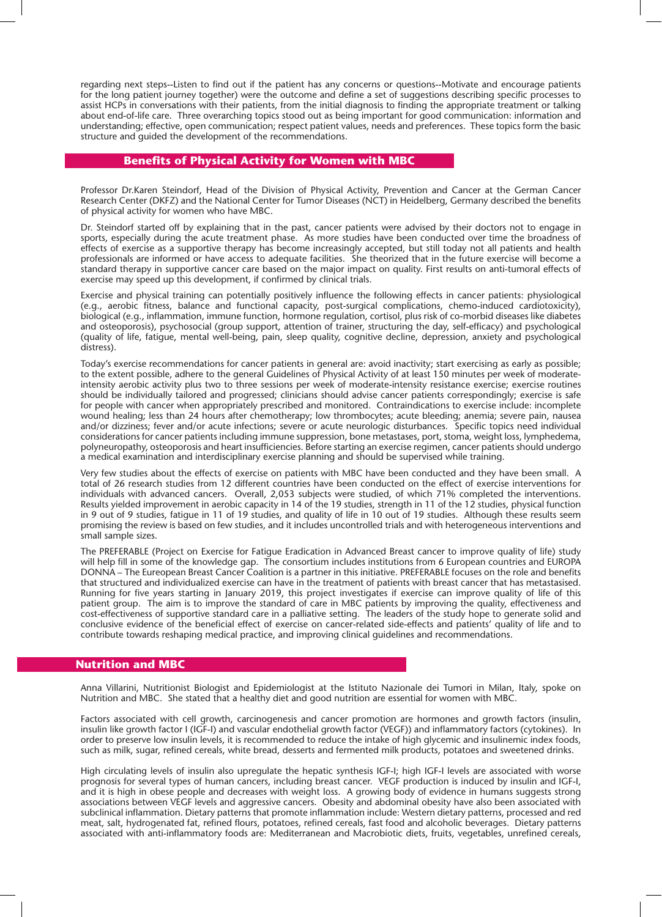regarding next steps--Listen to find out if the patient has any concerns or questions--Motivate and encourage patients for the long patient journey together) were the outcome and define a set of suggestions describing specific processes to assist HCPs in conversations with their patients, from the initial diagnosis to finding the appropriate treatment or talking about end-of-life care. Three overarching topics stood out as being important for good communication: information and understanding; effective, open communication; respect patient values, needs and preferences. These topics form the basic structure and guided the development of the recommendations.

# **Benefits of Physical Activity for Women with MBC**

Professor Dr.Karen Steindorf, Head of the Division of Physical Activity, Prevention and Cancer at the German Cancer Research Center (DKFZ) and the National Center for Tumor Diseases (NCT) in Heidelberg, Germany described the benefits of physical activity for women who have MBC.

Dr. Steindorf started off by explaining that in the past, cancer patients were advised by their doctors not to engage in sports, especially during the acute treatment phase. As more studies have been conducted over time the broadness of effects of exercise as a supportive therapy has become increasingly accepted, but still today not all patients and health professionals are informed or have access to adequate facilities. She theorized that in the future exercise will become a standard therapy in supportive cancer care based on the major impact on quality. First results on anti-tumoral effects of exercise may speed up this development, if confirmed by clinical trials.

Exercise and physical training can potentially positively influence the following effects in cancer patients: physiological (e.g., aerobic fitness, balance and functional capacity, post-surgical complications, chemo-induced cardiotoxicity), biological (e.g., inflammation, immune function, hormone regulation, cortisol, plus risk of co-morbid diseases like diabetes and osteoporosis), psychosocial (group support, attention of trainer, structuring the day, self-efficacy) and psychological (quality of life, fatigue, mental well-being, pain, sleep quality, cognitive decline, depression, anxiety and psychological distress).

Today's exercise recommendations for cancer patients in general are: avoid inactivity; start exercising as early as possible; to the extent possible, adhere to the general Guidelines of Physical Activity of at least 150 minutes per week of moderateintensity aerobic activity plus two to three sessions per week of moderate-intensity resistance exercise; exercise routines should be individually tailored and progressed; clinicians should advise cancer patients correspondingly; exercise is safe for people with cancer when appropriately prescribed and monitored. Contraindications to exercise include: incomplete wound healing; less than 24 hours after chemotherapy; low thrombocytes; acute bleeding; anemia; severe pain, nausea and/or dizziness; fever and/or acute infections; severe or acute neurologic disturbances. Specific topics need individual considerations for cancer patients including immune suppression, bone metastases, port, stoma, weight loss, lymphedema, polyneuropathy, osteoporosis and heart insufficiencies. Before starting an exercise regimen, cancer patients should undergo a medical examination and interdisciplinary exercise planning and should be supervised while training.

Very few studies about the effects of exercise on patients with MBC have been conducted and they have been small. A total of 26 research studies from 12 different countries have been conducted on the effect of exercise interventions for individuals with advanced cancers. Overall, 2,053 subjects were studied, of which 71% completed the interventions. Results yielded improvement in aerobic capacity in 14 of the 19 studies, strength in 11 of the 12 studies, physical function in 9 out of 9 studies, fatigue in 11 of 19 studies, and quality of life in 10 out of 19 studies. Although these results seem promising the review is based on few studies, and it includes uncontrolled trials and with heterogeneous interventions and small sample sizes.

The PREFERABLE (Project on Exercise for Fatigue Eradication in Advanced Breast cancer to improve quality of life) study will help fill in some of the knowledge gap. The consortium includes institutions from 6 European countries and EUROPA DONNA – The Eureopean Breast Cancer Coalition is a partner in this initiative. PREFERABLE focuses on the role and benefits that structured and individualized exercise can have in the treatment of patients with breast cancer that has metastasised. Running for five years starting in January 2019, this project investigates if exercise can improve quality of life of this patient group. The aim is to improve the standard of care in MBC patients by improving the quality, effectiveness and cost-effectiveness of supportive standard care in a palliative setting. The leaders of the study hope to generate solid and conclusive evidence of the beneficial effect of exercise on cancer-related side-effects and patients' quality of life and to contribute towards reshaping medical practice, and improving clinical guidelines and recommendations.

#### **Nutrition and MBC**

Anna Villarini, Nutritionist Biologist and Epidemiologist at the Istituto Nazionale dei Tumori in Milan, Italy, spoke on Nutrition and MBC. She stated that a healthy diet and good nutrition are essential for women with MBC.

Factors associated with cell growth, carcinogenesis and cancer promotion are hormones and growth factors (insulin, insulin like growth factor I (IGF-I) and vascular endothelial growth factor (VEGF)) and inflammatory factors (cytokines). In order to preserve low insulin levels, it is recommended to reduce the intake of high glycemic and insulinemic index foods, such as milk, sugar, refined cereals, white bread, desserts and fermented milk products, potatoes and sweetened drinks.

High circulating levels of insulin also upregulate the hepatic synthesis IGF-I; high IGF-I levels are associated with worse prognosis for several types of human cancers, including breast cancer. VEGF production is induced by insulin and IGF-I, and it is high in obese people and decreases with weight loss. A growing body of evidence in humans suggests strong associations between VEGF levels and aggressive cancers. Obesity and abdominal obesity have also been associated with subclinical inflammation. Dietary patterns that promote inflammation include: Western dietary patterns, processed and red meat, salt, hydrogenated fat, refined flours, potatoes, refined cereals, fast food and alcoholic beverages. Dietary patterns associated with anti-inflammatory foods are: Mediterranean and Macrobiotic diets, fruits, vegetables, unrefined cereals,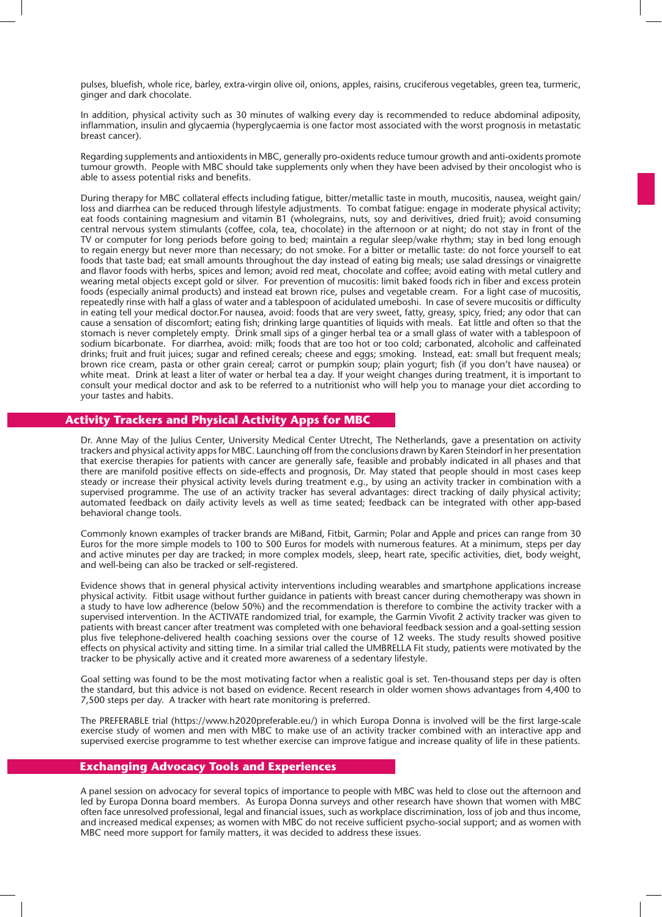pulses, bluefish, whole rice, barley, extra-virgin olive oil, onions, apples, raisins, cruciferous vegetables, green tea, turmeric, ginger and dark chocolate.

In addition, physical activity such as 30 minutes of walking every day is recommended to reduce abdominal adiposity, inflammation, insulin and glycaemia (hyperglycaemia is one factor most associated with the worst prognosis in metastatic breast cancer).

Regarding supplements and antioxidents in MBC, generally pro-oxidents reduce tumour growth and anti-oxidents promote tumour growth. People with MBC should take supplements only when they have been advised by their oncologist who is able to assess potential risks and benefits.

During therapy for MBC collateral effects including fatigue, bitter/metallic taste in mouth, mucositis, nausea, weight gain/ loss and diarrhea can be reduced through lifestyle adjustments. To combat fatigue: engage in moderate physical activity; eat foods containing magnesium and vitamin B1 (wholegrains, nuts, soy and derivitives, dried fruit); avoid consuming central nervous system stimulants (coffee, cola, tea, chocolate) in the afternoon or at night; do not stay in front of the TV or computer for long periods before going to bed; maintain a regular sleep/wake rhythm; stay in bed long enough to regain energy but never more than necessary; do not smoke. For a bitter or metallic taste: do not force yourself to eat foods that taste bad; eat small amounts throughout the day instead of eating big meals; use salad dressings or vinaigrette and flavor foods with herbs, spices and lemon; avoid red meat, chocolate and coffee; avoid eating with metal cutlery and wearing metal objects except gold or silver. For prevention of mucositis: limit baked foods rich in fiber and excess protein foods (especially animal products) and instead eat brown rice, pulses and vegetable cream. For a light case of mucositis, repeatedly rinse with half a glass of water and a tablespoon of acidulated umeboshi. In case of severe mucositis or difficulty in eating tell your medical doctor.For nausea, avoid: foods that are very sweet, fatty, greasy, spicy, fried; any odor that can cause a sensation of discomfort; eating fish; drinking large quantities of liquids with meals. Eat little and often so that the stomach is never completely empty. Drink small sips of a ginger herbal tea or a small glass of water with a tablespoon of sodium bicarbonate. For diarrhea, avoid: milk; foods that are too hot or too cold; carbonated, alcoholic and caffeinated drinks; fruit and fruit juices; sugar and refined cereals; cheese and eggs; smoking. Instead, eat: small but frequent meals; brown rice cream, pasta or other grain cereal; carrot or pumpkin soup; plain yogurt; fish (if you don't have nausea) or white meat. Drink at least a liter of water or herbal tea a day. If your weight changes during treatment, it is important to consult your medical doctor and ask to be referred to a nutritionist who will help you to manage your diet according to your tastes and habits.

# **Activity Trackers and Physical Activity Apps for MBC**

Dr. Anne May of the Julius Center, University Medical Center Utrecht, The Netherlands, gave a presentation on activity trackers and physical activity apps for MBC. Launching off from the conclusions drawn by Karen Steindorf in her presentation that exercise therapies for patients with cancer are generally safe, feasible and probably indicated in all phases and that there are manifold positive effects on side-effects and prognosis, Dr. May stated that people should in most cases keep steady or increase their physical activity levels during treatment e.g., by using an activity tracker in combination with a supervised programme. The use of an activity tracker has several advantages: direct tracking of daily physical activity; automated feedback on daily activity levels as well as time seated; feedback can be integrated with other app-based behavioral change tools.

Commonly known examples of tracker brands are MiBand, Fitbit, Garmin; Polar and Apple and prices can range from 30 Euros for the more simple models to 100 to 500 Euros for models with numerous features. At a minimum, steps per day and active minutes per day are tracked; in more complex models, sleep, heart rate, specific activities, diet, body weight, and well-being can also be tracked or self-registered.

Evidence shows that in general physical activity interventions including wearables and smartphone applications increase physical activity. Fitbit usage without further guidance in patients with breast cancer during chemotherapy was shown in a study to have low adherence (below 50%) and the recommendation is therefore to combine the activity tracker with a supervised intervention. In the ACTIVATE randomized trial, for example, the Garmin Vivofit 2 activity tracker was given to patients with breast cancer after treatment was completed with one behavioral feedback session and a goal-setting session plus five telephone-delivered health coaching sessions over the course of 12 weeks. The study results showed positive effects on physical activity and sitting time. In a similar trial called the UMBRELLA Fit study, patients were motivated by the tracker to be physically active and it created more awareness of a sedentary lifestyle.

Goal setting was found to be the most motivating factor when a realistic goal is set. Ten-thousand steps per day is often the standard, but this advice is not based on evidence. Recent research in older women shows advantages from 4,400 to 7,500 steps per day. A tracker with heart rate monitoring is preferred.

The PREFERABLE trial (https://www.h2020preferable.eu/) in which Europa Donna is involved will be the first large-scale exercise study of women and men with MBC to make use of an activity tracker combined with an interactive app and supervised exercise programme to test whether exercise can improve fatigue and increase quality of life in these patients.

#### **Exchanging Advocacy Tools and Experiences**

A panel session on advocacy for several topics of importance to people with MBC was held to close out the afternoon and led by Europa Donna board members. As Europa Donna surveys and other research have shown that women with MBC often face unresolved professional, legal and financial issues, such as workplace discrimination, loss of job and thus income, and increased medical expenses; as women with MBC do not receive sufficient psycho-social support; and as women with MBC need more support for family matters, it was decided to address these issues.